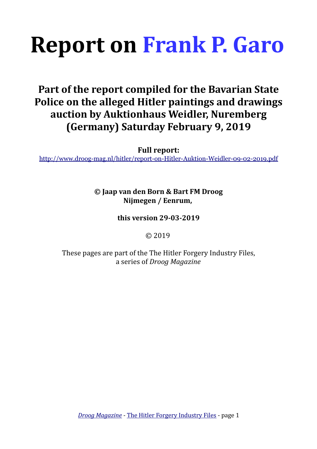# **Report on [Frank P. Garo](#page-1-0)**

## **Part of the report compiled for the Bavarian State Police on the alleged Hitler paintings and drawings auction by Auktionhaus Weidler, Nuremberg (Germany) Saturday February 9, 2019**

**Full report:**

<http://www.droog-mag.nl/hitler/report-on-Hitler-Auktion-Weidler-09-02-2019.pdf>

### **© Jaap van den Born & Bart FM Droog Nijmegen / Eenrum,**

#### **this version 29-03-2019**

© 2019

These pages are part of the The Hitler Forgery Industry Files, a series of *Droog Magazine*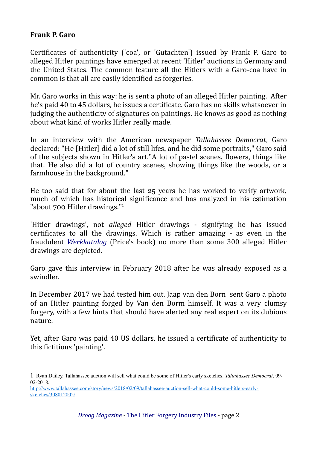#### <span id="page-1-0"></span>**Frank P. Garo**

Certificates of authenticity ('coa', or 'Gutachten') issued by Frank P. Garo to alleged Hitler paintings have emerged at recent 'Hitler' auctions in Germany and the United States. The common feature all the Hitlers with a Garo-coa have in common is that all are easily identified as forgeries.

Mr. Garo works in this way: he is sent a photo of an alleged Hitler painting. After he's paid 40 to 45 dollars, he issues a certificate. Garo has no skills whatsoever in judging the authenticity of signatures on paintings. He knows as good as nothing about what kind of works Hitler really made.

In an interview with the American newspaper *Tallahassee Democrat*, Garo declared: "He [Hitler] did a lot of still lifes, and he did some portraits," Garo said of the subjects shown in Hitler's art."A lot of pastel scenes, flowers, things like that. He also did a lot of country scenes, showing things like the woods, or a farmhouse in the background."

He too said that for about the last 25 years he has worked to verify artwork, much of which has historical significance and has analyzed in his estimation "about 700 Hitler drawings."[1](#page-1-1)

'Hitler drawings', not *alleged* Hitler drawings - signifying he has issued certificates to all the drawings. Which is rather amazing - as even in the fraudulent *[Werkkatalog](http://www.bartfmdroog.com/droog/niod/price.html)* (Price's book) no more than some 300 alleged Hitler drawings are depicted.

Garo gave this interview in February 2018 after he was already exposed as a swindler.

In December 2017 we had tested him out. Jaap van den Born sent Garo a photo of an Hitler painting forged by Van den Borm himself. It was a very clumsy forgery, with a few hints that should have alerted any real expert on its dubious nature. The contract of the contract of the contract of the contract of the contract of the contract of the contract of the contract of the contract of the contract of the contract of the contract of the contract of the co

Yet, after Garo was paid 40 US dollars, he issued a certificate of authenticity to this fictitious 'painting'.

<span id="page-1-1"></span><sup>1</sup> Ryan Dailey. Tallahassee auction will sell what could be some of Hitler's early sketches. *Tallahassee Democrat*, 09- 02-2018.

[http://www.tallahassee.com/story/news/2018/02/09/tallahassee-auction-sell-what-could-some-hitlers-early](http://www.tallahassee.com/story/news/2018/02/09/tallahassee-auction-sell-what-could-some-hitlers-early-sketches/308012002/)[sketches/308012002/](http://www.tallahassee.com/story/news/2018/02/09/tallahassee-auction-sell-what-could-some-hitlers-early-sketches/308012002/)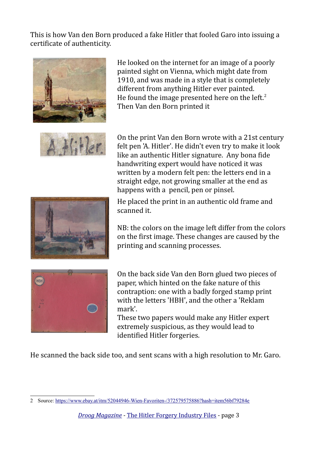This is how Van den Born produced a fake Hitler that fooled Garo into issuing a certificate of authenticity.



He looked on the internet for an image of a poorly painted sight on Vienna, which might date from 1910, and was made in a style that is completely different from anything Hitler ever painted. He found the image presented here on the left. $2$ Then Van den Born printed it



On the print Van den Born wrote with a 21st century felt pen 'A. Hitler'. He didn't even try to make it look like an authentic Hitler signature. Any bona fide handwriting expert would have noticed it was written by a modern felt pen: the letters end in a straight edge, not growing smaller at the end as happens with a pencil, pen or pinsel.

He placed the print in an authentic old frame and scanned it.

NB: the colors on the image left differ from the colors on the first image. These changes are caused by the printing and scanning processes.



On the back side Van den Born glued two pieces of paper, which hinted on the fake nature of this contraption: one with a badly forged stamp print with the letters 'HBH', and the other a 'Reklam mark'.

These two papers would make any Hitler expert extremely suspicious, as they would lead to identified Hitler forgeries.

He scanned the back side too, and sent scans with a high resolution to Mr. Garo.

<span id="page-2-0"></span><sup>2</sup> Source:<https://www.ebay.at/itm/52044946-Wien-Favoriten-/372579575886?hash=item56bf79284e>